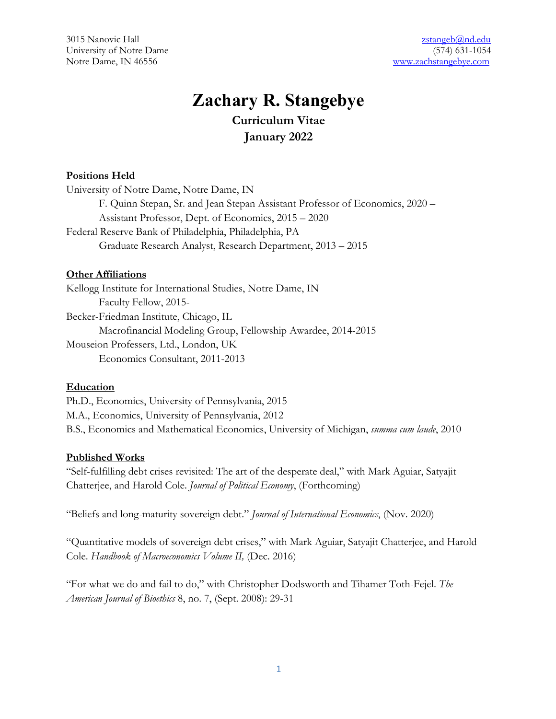3015 Nanovic Hall zstangeb@nd.edu University of Notre Dame (574) 631-1054 Notre Dame, IN 46556 www.zachstangebye.com

# **Zachary R. Stangebye Curriculum Vitae January 2022**

#### **Positions Held**

University of Notre Dame, Notre Dame, IN F. Quinn Stepan, Sr. and Jean Stepan Assistant Professor of Economics, 2020 – Assistant Professor, Dept. of Economics, 2015 – 2020 Federal Reserve Bank of Philadelphia, Philadelphia, PA Graduate Research Analyst, Research Department, 2013 – 2015

#### **Other Affiliations**

Kellogg Institute for International Studies, Notre Dame, IN Faculty Fellow, 2015- Becker-Friedman Institute, Chicago, IL Macrofinancial Modeling Group, Fellowship Awardee, 2014-2015 Mouseion Professers, Ltd., London, UK Economics Consultant, 2011-2013

#### **Education**

Ph.D., Economics, University of Pennsylvania, 2015 M.A., Economics, University of Pennsylvania, 2012 B.S., Economics and Mathematical Economics, University of Michigan, *summa cum laude*, 2010

#### **Published Works**

"Self-fulfilling debt crises revisited: The art of the desperate deal," with Mark Aguiar, Satyajit Chatterjee, and Harold Cole. *Journal of Political Economy*, (Forthcoming)

"Beliefs and long-maturity sovereign debt." *Journal of International Economics*, (Nov. 2020)

"Quantitative models of sovereign debt crises," with Mark Aguiar, Satyajit Chatterjee, and Harold Cole. *Handbook of Macroeconomics Volume II,* (Dec. 2016)

"For what we do and fail to do," with Christopher Dodsworth and Tihamer Toth-Fejel. *The American Journal of Bioethics* 8, no. 7, (Sept. 2008): 29-31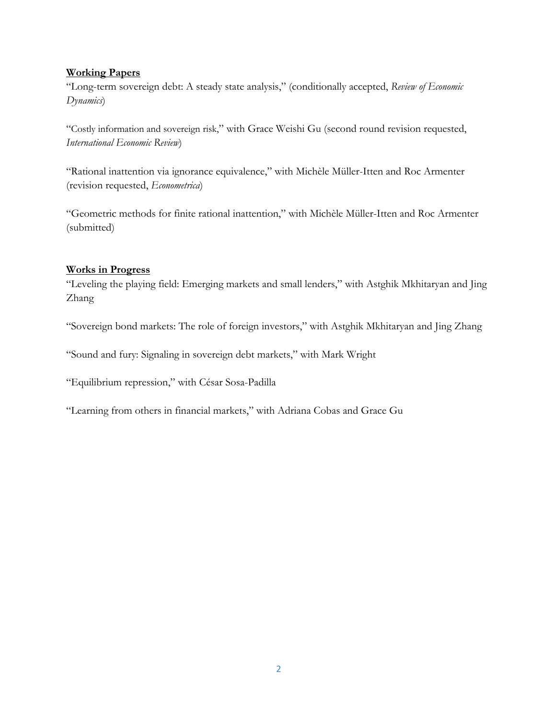## **Working Papers**

"Long-term sovereign debt: A steady state analysis," (conditionally accepted, *Review of Economic Dynamics*)

"Costly information and sovereign risk," with Grace Weishi Gu (second round revision requested, *International Economic Review*)

"Rational inattention via ignorance equivalence," with Michèle Müller-Itten and Roc Armenter (revision requested, *Econometrica*)

"Geometric methods for finite rational inattention," with Michèle Müller-Itten and Roc Armenter (submitted)

## **Works in Progress**

"Leveling the playing field: Emerging markets and small lenders," with Astghik Mkhitaryan and Jing Zhang

"Sovereign bond markets: The role of foreign investors," with Astghik Mkhitaryan and Jing Zhang

"Sound and fury: Signaling in sovereign debt markets," with Mark Wright

"Equilibrium repression," with César Sosa-Padilla

"Learning from others in financial markets," with Adriana Cobas and Grace Gu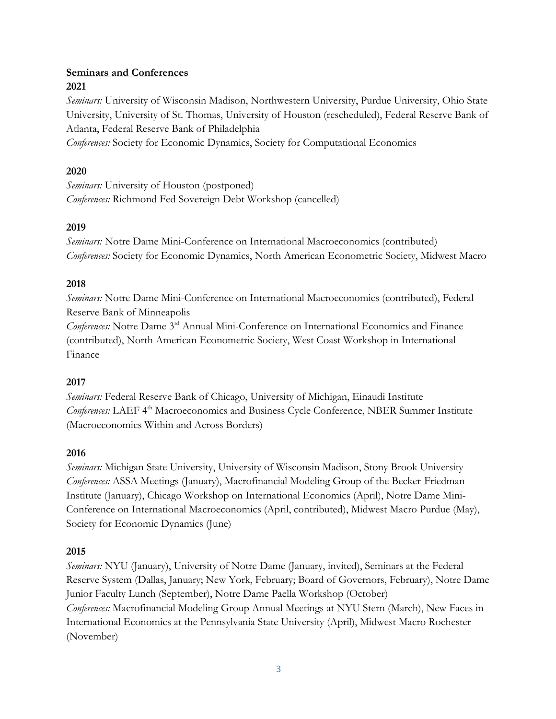## **Seminars and Conferences 2021**

*Seminars:* University of Wisconsin Madison, Northwestern University, Purdue University, Ohio State University, University of St. Thomas, University of Houston (rescheduled), Federal Reserve Bank of Atlanta, Federal Reserve Bank of Philadelphia

*Conferences:* Society for Economic Dynamics, Society for Computational Economics

# **2020**

*Seminars:* University of Houston (postponed) *Conferences:* Richmond Fed Sovereign Debt Workshop (cancelled)

# **2019**

*Seminars:* Notre Dame Mini-Conference on International Macroeconomics (contributed) *Conferences:* Society for Economic Dynamics, North American Econometric Society, Midwest Macro

# **2018**

*Seminars:* Notre Dame Mini-Conference on International Macroeconomics (contributed), Federal Reserve Bank of Minneapolis

*Conferences:* Notre Dame 3rd Annual Mini-Conference on International Economics and Finance (contributed), North American Econometric Society, West Coast Workshop in International Finance

# **2017**

*Seminars:* Federal Reserve Bank of Chicago, University of Michigan, Einaudi Institute *Conferences:* LAEF 4th Macroeconomics and Business Cycle Conference, NBER Summer Institute (Macroeconomics Within and Across Borders)

# **2016**

*Seminars:* Michigan State University, University of Wisconsin Madison, Stony Brook University *Conferences:* ASSA Meetings (January), Macrofinancial Modeling Group of the Becker-Friedman Institute (January), Chicago Workshop on International Economics (April), Notre Dame Mini-Conference on International Macroeconomics (April, contributed), Midwest Macro Purdue (May), Society for Economic Dynamics (June)

# **2015**

*Seminars:* NYU (January), University of Notre Dame (January, invited), Seminars at the Federal Reserve System (Dallas, January; New York, February; Board of Governors, February), Notre Dame Junior Faculty Lunch (September), Notre Dame Paella Workshop (October) *Conferences:* Macrofinancial Modeling Group Annual Meetings at NYU Stern (March), New Faces in International Economics at the Pennsylvania State University (April), Midwest Macro Rochester (November)